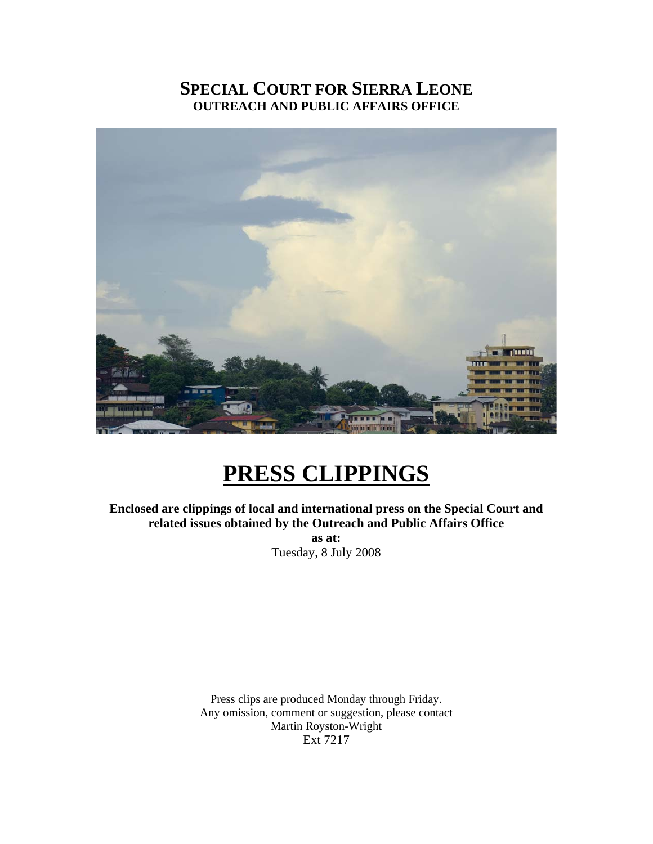# **SPECIAL COURT FOR SIERRA LEONE OUTREACH AND PUBLIC AFFAIRS OFFICE**



# **PRESS CLIPPINGS**

**Enclosed are clippings of local and international press on the Special Court and related issues obtained by the Outreach and Public Affairs Office as at:** 

Tuesday, 8 July 2008

Press clips are produced Monday through Friday. Any omission, comment or suggestion, please contact Martin Royston-Wright Ext 7217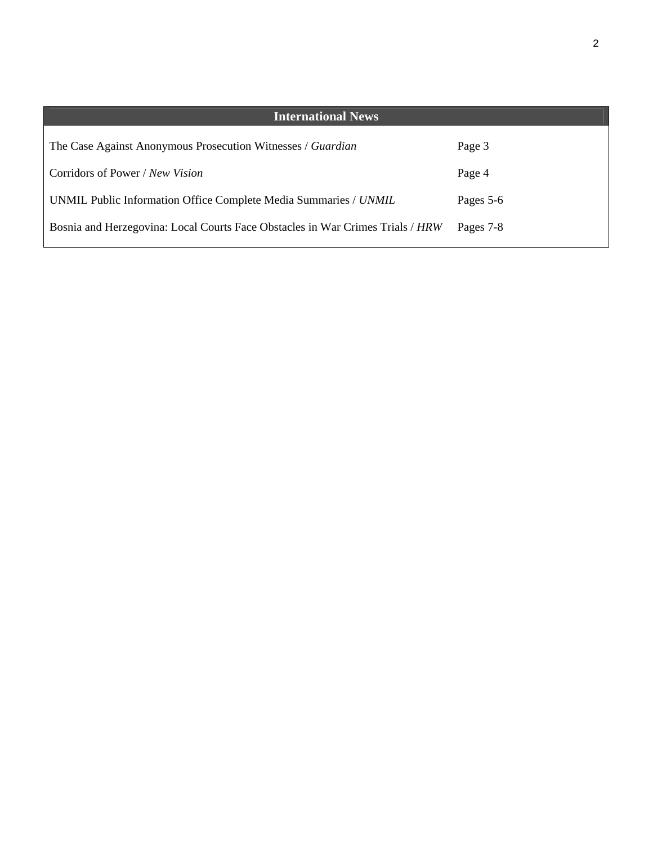| ٦ |   |         |  |
|---|---|---------|--|
|   | ٠ | I<br>۰, |  |
|   |   |         |  |
|   |   |         |  |

| <b>International News</b>                                                      |           |  |  |  |  |
|--------------------------------------------------------------------------------|-----------|--|--|--|--|
| The Case Against Anonymous Prosecution Witnesses / Guardian                    | Page 3    |  |  |  |  |
| Corridors of Power / New Vision                                                | Page 4    |  |  |  |  |
| UNMIL Public Information Office Complete Media Summaries / UNMIL               | Pages 5-6 |  |  |  |  |
| Bosnia and Herzegovina: Local Courts Face Obstacles in War Crimes Trials / HRW | Pages 7-8 |  |  |  |  |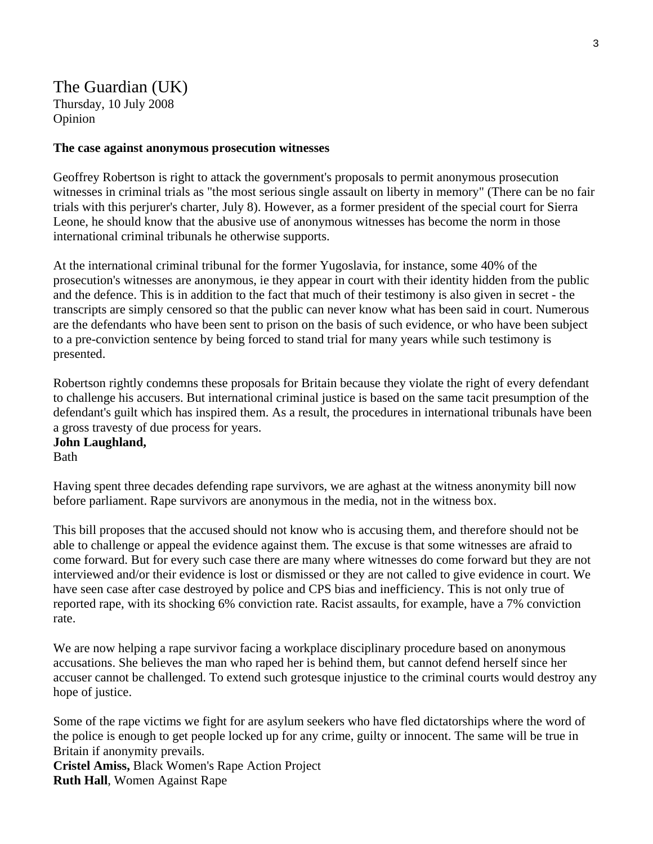# The Guardian (UK) Thursday, 10 July 2008 Opinion

#### **The case against anonymous prosecution witnesses**

Geoffrey Robertson is right to attack the government's proposals to permit anonymous prosecution witnesses in criminal trials as "the most serious single assault on liberty in memory" (There can be no fair trials with this perjurer's charter, July 8). However, as a former president of the special court for Sierra Leone, he should know that the abusive use of anonymous witnesses has become the norm in those international criminal tribunals he otherwise supports.

At the international criminal tribunal for the former Yugoslavia, for instance, some 40% of the prosecution's witnesses are anonymous, ie they appear in court with their identity hidden from the public and the defence. This is in addition to the fact that much of their testimony is also given in secret - the transcripts are simply censored so that the public can never know what has been said in court. Numerous are the defendants who have been sent to prison on the basis of such evidence, or who have been subject to a pre-conviction sentence by being forced to stand trial for many years while such testimony is presented.

Robertson rightly condemns these proposals for Britain because they violate the right of every defendant to challenge his accusers. But international criminal justice is based on the same tacit presumption of the defendant's guilt which has inspired them. As a result, the procedures in international tribunals have been a gross travesty of due process for years.

**John Laughland,** 

Bath

Having spent three decades defending rape survivors, we are aghast at the witness anonymity bill now before parliament. Rape survivors are anonymous in the media, not in the witness box.

This bill proposes that the accused should not know who is accusing them, and therefore should not be able to challenge or appeal the evidence against them. The excuse is that some witnesses are afraid to come forward. But for every such case there are many where witnesses do come forward but they are not interviewed and/or their evidence is lost or dismissed or they are not called to give evidence in court. We have seen case after case destroyed by police and CPS bias and inefficiency. This is not only true of reported rape, with its shocking 6% conviction rate. Racist assaults, for example, have a 7% conviction rate.

We are now helping a rape survivor facing a workplace disciplinary procedure based on anonymous accusations. She believes the man who raped her is behind them, but cannot defend herself since her accuser cannot be challenged. To extend such grotesque injustice to the criminal courts would destroy any hope of justice.

Some of the rape victims we fight for are asylum seekers who have fled dictatorships where the word of the police is enough to get people locked up for any crime, guilty or innocent. The same will be true in Britain if anonymity prevails.

**Cristel Amiss,** Black Women's Rape Action Project **Ruth Hall**, Women Against Rape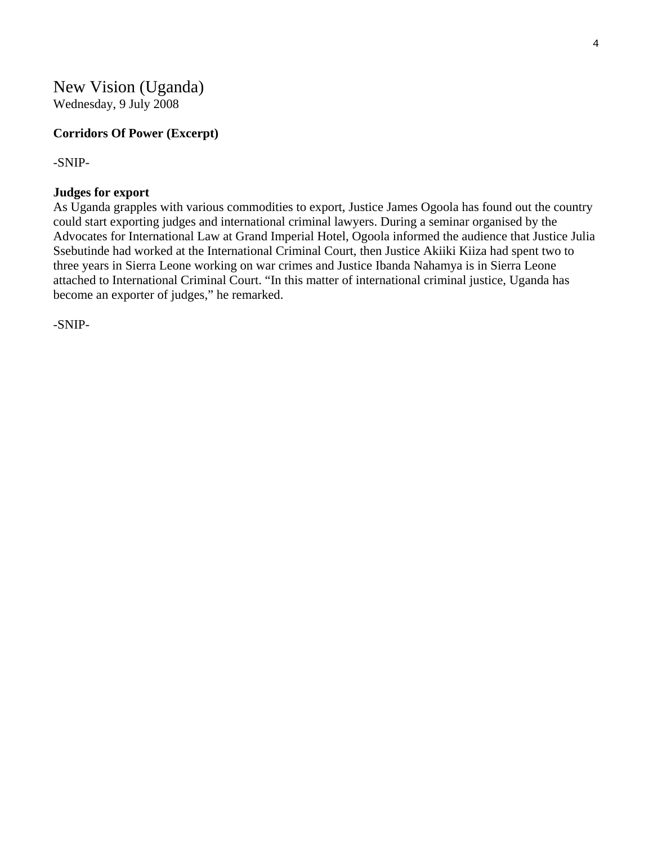# New Vision (Uganda) Wednesday, 9 July 2008

# **Corridors Of Power (Excerpt)**

-SNIP-

#### **Judges for export**

As Uganda grapples with various commodities to export, Justice James Ogoola has found out the country could start exporting judges and international criminal lawyers. During a seminar organised by the Advocates for International Law at Grand Imperial Hotel, Ogoola informed the audience that Justice Julia Ssebutinde had worked at the International Criminal Court, then Justice Akiiki Kiiza had spent two to three years in Sierra Leone working on war crimes and Justice Ibanda Nahamya is in Sierra Leone attached to International Criminal Court. "In this matter of international criminal justice, Uganda has become an exporter of judges," he remarked.

-SNIP-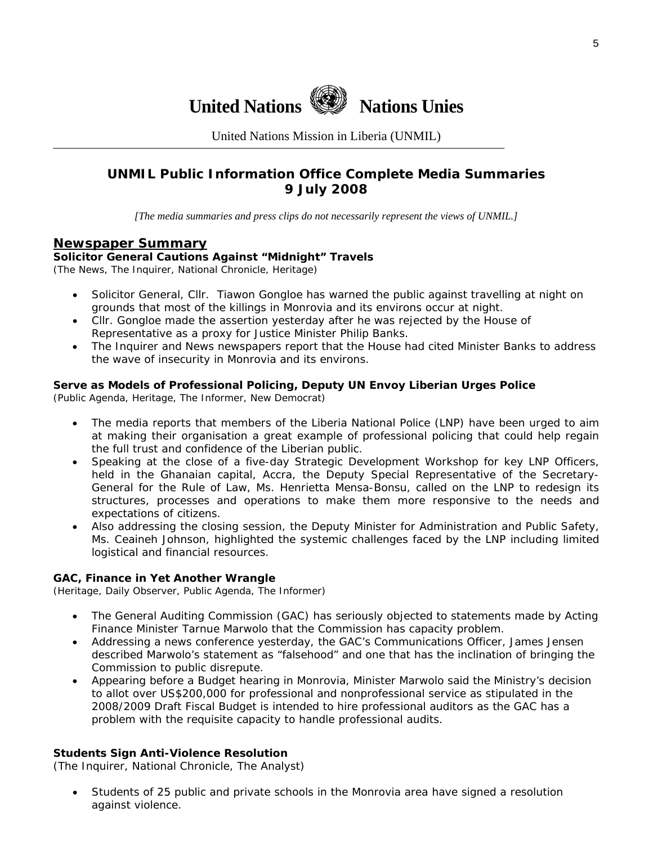

United Nations Mission in Liberia (UNMIL)

# **UNMIL Public Information Office Complete Media Summaries 9 July 2008**

*[The media summaries and press clips do not necessarily represent the views of UNMIL.]* 

# **Newspaper Summary**

#### **Solicitor General Cautions Against "Midnight" Travels**

(The News, The Inquirer, National Chronicle, Heritage)

- Solicitor General, Cllr. Tiawon Gongloe has warned the public against travelling at night on grounds that most of the killings in Monrovia and its environs occur at night.
- Cllr. Gongloe made the assertion yesterday after he was rejected by the House of Representative as a proxy for Justice Minister Philip Banks.
- The Inquirer and News newspapers report that the House had cited Minister Banks to address the wave of insecurity in Monrovia and its environs.

#### **Serve as Models of Professional Policing***,* **Deputy UN Envoy Liberian Urges Police**

(Public Agenda, Heritage, The Informer, New Democrat)

- The media reports that members of the Liberia National Police (LNP) have been urged to aim at making their organisation a great example of professional policing that could help regain the full trust and confidence of the Liberian public.
- Speaking at the close of a five-day Strategic Development Workshop for key LNP Officers, held in the Ghanaian capital, Accra, the Deputy Special Representative of the Secretary-General for the Rule of Law, Ms. Henrietta Mensa-Bonsu, called on the LNP to redesign its structures, processes and operations to make them more responsive to the needs and expectations of citizens.
- Also addressing the closing session, the Deputy Minister for Administration and Public Safety, Ms. Ceaineh Johnson, highlighted the systemic challenges faced by the LNP including limited logistical and financial resources.

#### **GAC, Finance in Yet Another Wrangle**

(Heritage, Daily Observer, Public Agenda, The Informer)

- The General Auditing Commission (GAC) has seriously objected to statements made by Acting Finance Minister Tarnue Marwolo that the Commission has capacity problem.
- Addressing a news conference yesterday, the GAC's Communications Officer, James Jensen described Marwolo's statement as "falsehood" and one that has the inclination of bringing the Commission to public disrepute.
- Appearing before a Budget hearing in Monrovia, Minister Marwolo said the Ministry's decision to allot over US\$200,000 for professional and nonprofessional service as stipulated in the 2008/2009 Draft Fiscal Budget is intended to hire professional auditors as the GAC has a problem with the requisite capacity to handle professional audits.

#### **Students Sign Anti-Violence Resolution**

(The Inquirer, National Chronicle, The Analyst)

• Students of 25 public and private schools in the Monrovia area have signed a resolution against violence.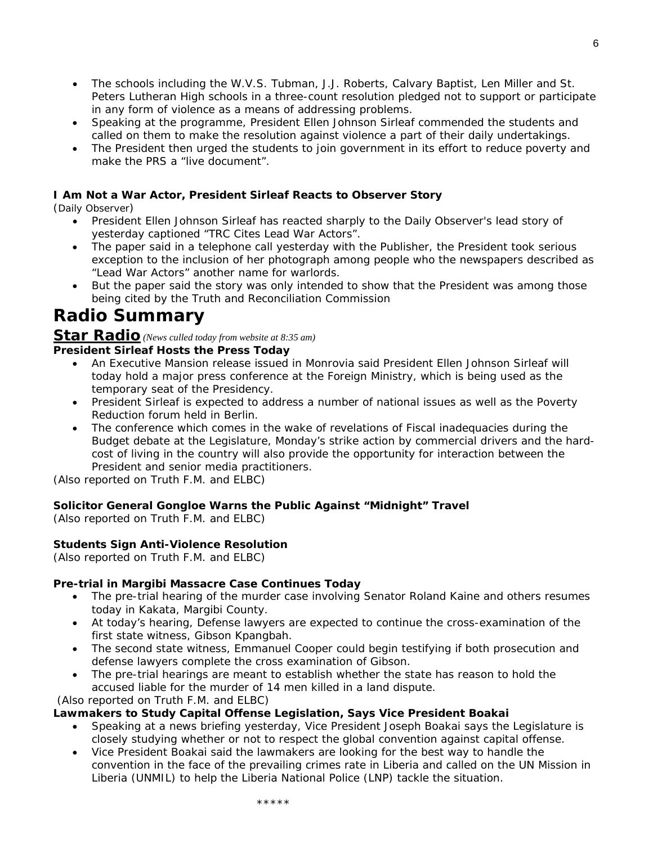- The schools including the W.V.S. Tubman, J.J. Roberts, Calvary Baptist, Len Miller and St. Peters Lutheran High schools in a three-count resolution pledged not to support or participate in any form of violence as a means of addressing problems.
- Speaking at the programme, President Ellen Johnson Sirleaf commended the students and called on them to make the resolution against violence a part of their daily undertakings.
- The President then urged the students to join government in its effort to reduce poverty and make the PRS a "live document".

#### **I Am Not a War Actor, President Sirleaf Reacts to Observer Story**

(Daily Observer)

- President Ellen Johnson Sirleaf has reacted sharply to the Daily Observer's lead story of yesterday captioned "TRC Cites Lead War Actors".
- The paper said in a telephone call yesterday with the Publisher, the President took serious exception to the inclusion of her photograph among people who the newspapers described as "Lead War Actors" another name for warlords.
- But the paper said the story was only intended to show that the President was among those being cited by the Truth and Reconciliation Commission

# **Radio Summary**

#### **Star Radio** *(News culled today from website at 8:35 am)*

# **President Sirleaf Hosts the Press Today**

- An Executive Mansion release issued in Monrovia said President Ellen Johnson Sirleaf will today hold a major press conference at the Foreign Ministry, which is being used as the temporary seat of the Presidency.
- President Sirleaf is expected to address a number of national issues as well as the Poverty Reduction forum held in Berlin.
- The conference which comes in the wake of revelations of Fiscal inadequacies during the Budget debate at the Legislature, Monday's strike action by commercial drivers and the hardcost of living in the country will also provide the opportunity for interaction between the President and senior media practitioners.

*(Also reported on Truth F.M. and ELBC)*

# **Solicitor General Gongloe Warns the Public Against "Midnight" Travel**

*(Also reported on Truth F.M. and ELBC)*

# **Students Sign Anti-Violence Resolution**

*(Also reported on Truth F.M. and ELBC)*

# **Pre-trial in Margibi Massacre Case Continues Today**

- The pre-trial hearing of the murder case involving Senator Roland Kaine and others resumes today in Kakata, Margibi County.
- At today's hearing, Defense lawyers are expected to continue the cross-examination of the first state witness, Gibson Kpangbah.
- The second state witness, Emmanuel Cooper could begin testifying if both prosecution and defense lawyers complete the cross examination of Gibson.
- The pre-trial hearings are meant to establish whether the state has reason to hold the accused liable for the murder of 14 men killed in a land dispute.

*(Also reported on Truth F.M. and ELBC)* 

# **Lawmakers to Study Capital Offense Legislation, Says Vice President Boakai**

- Speaking at a news briefing yesterday, Vice President Joseph Boakai says the Legislature is closely studying whether or not to respect the global convention against capital offense.
- Vice President Boakai said the lawmakers are looking for the best way to handle the convention in the face of the prevailing crimes rate in Liberia and called on the UN Mission in Liberia (UNMIL) to help the Liberia National Police (LNP) tackle the situation.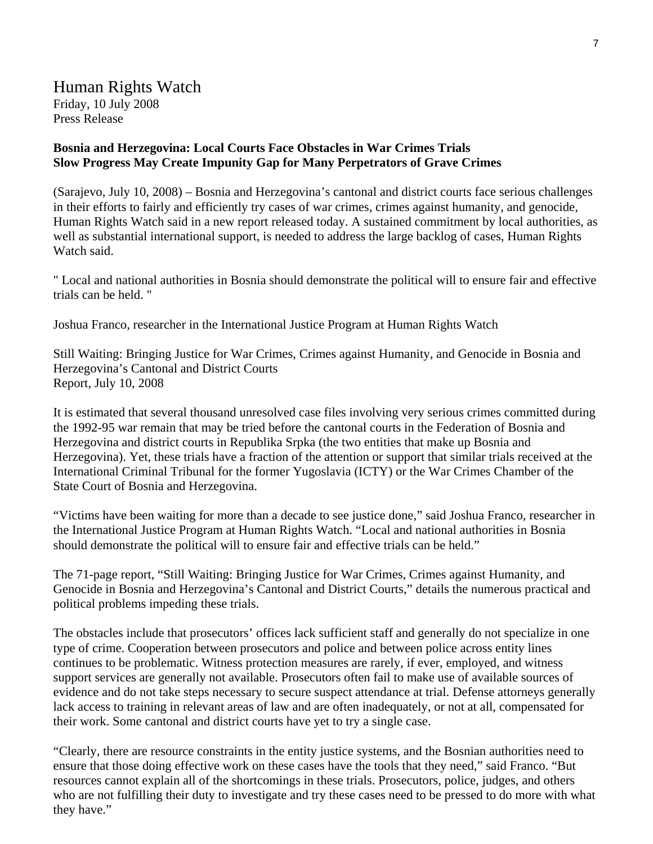# Human Rights Watch Friday, 10 July 2008 Press Release

# **Bosnia and Herzegovina: Local Courts Face Obstacles in War Crimes Trials Slow Progress May Create Impunity Gap for Many Perpetrators of Grave Crimes**

(Sarajevo, July 10, 2008) – Bosnia and Herzegovina's cantonal and district courts face serious challenges in their efforts to fairly and efficiently try cases of war crimes, crimes against humanity, and genocide, Human Rights Watch said in a new report released today. A sustained commitment by local authorities, as well as substantial international support, is needed to address the large backlog of cases, Human Rights Watch said.

" Local and national authorities in Bosnia should demonstrate the political will to ensure fair and effective trials can be held. "

Joshua Franco, researcher in the International Justice Program at Human Rights Watch

Still Waiting: Bringing Justice for War Crimes, Crimes against Humanity, and Genocide in Bosnia and Herzegovina's Cantonal and District Courts Report, July 10, 2008

It is estimated that several thousand unresolved case files involving very serious crimes committed during the 1992-95 war remain that may be tried before the cantonal courts in the Federation of Bosnia and Herzegovina and district courts in Republika Srpka (the two entities that make up Bosnia and Herzegovina). Yet, these trials have a fraction of the attention or support that similar trials received at the International Criminal Tribunal for the former Yugoslavia (ICTY) or the War Crimes Chamber of the State Court of Bosnia and Herzegovina.

"Victims have been waiting for more than a decade to see justice done," said Joshua Franco, researcher in the International Justice Program at Human Rights Watch. "Local and national authorities in Bosnia should demonstrate the political will to ensure fair and effective trials can be held."

The 71-page report, "Still Waiting: Bringing Justice for War Crimes, Crimes against Humanity, and Genocide in Bosnia and Herzegovina's Cantonal and District Courts," details the numerous practical and political problems impeding these trials.

The obstacles include that prosecutors' offices lack sufficient staff and generally do not specialize in one type of crime. Cooperation between prosecutors and police and between police across entity lines continues to be problematic. Witness protection measures are rarely, if ever, employed, and witness support services are generally not available. Prosecutors often fail to make use of available sources of evidence and do not take steps necessary to secure suspect attendance at trial. Defense attorneys generally lack access to training in relevant areas of law and are often inadequately, or not at all, compensated for their work. Some cantonal and district courts have yet to try a single case.

"Clearly, there are resource constraints in the entity justice systems, and the Bosnian authorities need to ensure that those doing effective work on these cases have the tools that they need," said Franco. "But resources cannot explain all of the shortcomings in these trials. Prosecutors, police, judges, and others who are not fulfilling their duty to investigate and try these cases need to be pressed to do more with what they have."